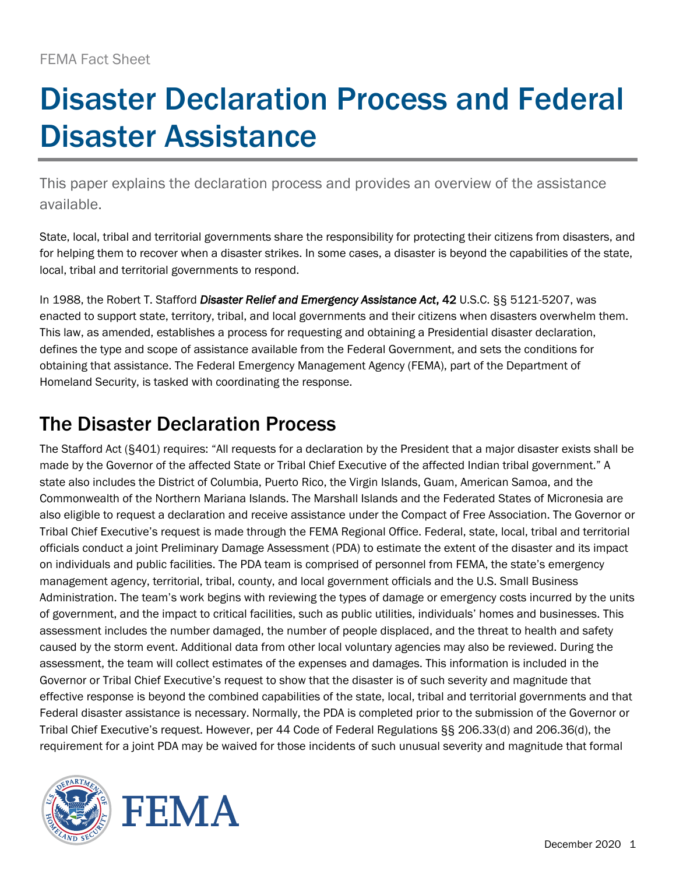# Disaster Declaration Process and Federal Disaster Assistance

This paper explains the declaration process and provides an overview of the assistance available.

State, local, tribal and territorial governments share the responsibility for protecting their citizens from disasters, and for helping them to recover when a disaster strikes. In some cases, a disaster is beyond the capabilities of the state, local, tribal and territorial governments to respond.

In 1988, the Robert T. Stafford *Disaster Relief and Emergency Assistance Act*, 42 U.S.C. §§ 5121-5207, was enacted to support state, territory, tribal, and local governments and their citizens when disasters overwhelm them. This law, as amended, establishes a process for requesting and obtaining a Presidential disaster declaration, defines the type and scope of assistance available from the Federal Government, and sets the conditions for obtaining that assistance. The Federal Emergency Management Agency (FEMA), part of the Department of Homeland Security, is tasked with coordinating the response.

# The Disaster Declaration Process

The Stafford Act (§401) requires: "All requests for a declaration by the President that a major disaster exists shall be made by the Governor of the affected State or Tribal Chief Executive of the affected Indian tribal government." A state also includes the District of Columbia, Puerto Rico, the Virgin Islands, Guam, American Samoa, and the Commonwealth of the Northern Mariana Islands. The Marshall Islands and the Federated States of Micronesia are also eligible to request a declaration and receive assistance under the Compact of Free Association. The Governor or Tribal Chief Executive's request is made through the FEMA Regional Office. Federal, state, local, tribal and territorial officials conduct a joint Preliminary Damage Assessment (PDA) to estimate the extent of the disaster and its impact on individuals and public facilities. The PDA team is comprised of personnel from FEMA, the state's emergency management agency, territorial, tribal, county, and local government officials and the U.S. Small Business Administration. The team's work begins with reviewing the types of damage or emergency costs incurred by the units of government, and the impact to critical facilities, such as public utilities, individuals' homes and businesses. This assessment includes the number damaged, the number of people displaced, and the threat to health and safety caused by the storm event. Additional data from other local voluntary agencies may also be reviewed. During the assessment, the team will collect estimates of the expenses and damages. This information is included in the Governor or Tribal Chief Executive's request to show that the disaster is of such severity and magnitude that effective response is beyond the combined capabilities of the state, local, tribal and territorial governments and that Federal disaster assistance is necessary. Normally, the PDA is completed prior to the submission of the Governor or Tribal Chief Executive's request. However, per 44 Code of Federal Regulations §§ 206.33(d) and 206.36(d), the requirement for a joint PDA may be waived for those incidents of such unusual severity and magnitude that formal

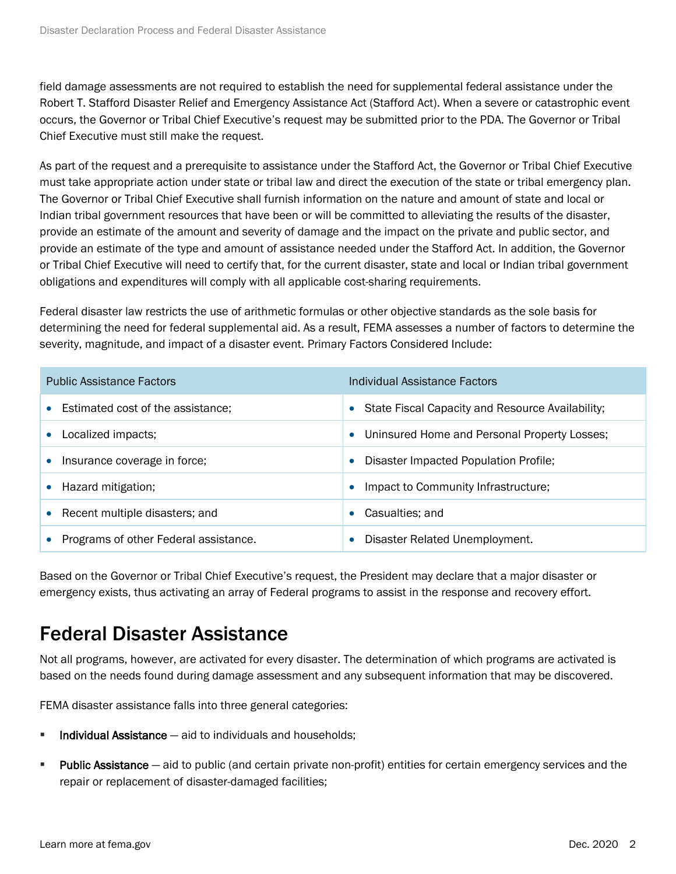field damage assessments are not required to establish the need for supplemental federal assistance under the Robert T. Stafford Disaster Relief and Emergency Assistance Act (Stafford Act). When a severe or catastrophic event occurs, the Governor or Tribal Chief Executive's request may be submitted prior to the PDA. The Governor or Tribal Chief Executive must still make the request.

As part of the request and a prerequisite to assistance under the Stafford Act, the Governor or Tribal Chief Executive must take appropriate action under state or tribal law and direct the execution of the state or tribal emergency plan. The Governor or Tribal Chief Executive shall furnish information on the nature and amount of state and local or Indian tribal government resources that have been or will be committed to alleviating the results of the disaster, provide an estimate of the amount and severity of damage and the impact on the private and public sector, and provide an estimate of the type and amount of assistance needed under the Stafford Act. In addition, the Governor or Tribal Chief Executive will need to certify that, for the current disaster, state and local or Indian tribal government obligations and expenditures will comply with all applicable cost-sharing requirements.

Federal disaster law restricts the use of arithmetic formulas or other objective standards as the sole basis for determining the need for federal supplemental aid. As a result, FEMA assesses a number of factors to determine the severity, magnitude, and impact of a disaster event. Primary Factors Considered Include:

| <b>Public Assistance Factors</b>               | Individual Assistance Factors                                 |
|------------------------------------------------|---------------------------------------------------------------|
| Estimated cost of the assistance;<br>$\bullet$ | State Fiscal Capacity and Resource Availability;<br>$\bullet$ |
| Localized impacts;                             | Uninsured Home and Personal Property Losses;<br>$\bullet$     |
| Insurance coverage in force;<br>$\bullet$      | Disaster Impacted Population Profile;<br>$\bullet$            |
| Hazard mitigation;<br>$\bullet$                | Impact to Community Infrastructure;<br>$\bullet$              |
| • Recent multiple disasters; and               | Casualties; and<br>$\bullet$                                  |
| Programs of other Federal assistance.          | Disaster Related Unemployment.<br>۰                           |

Based on the Governor or Tribal Chief Executive's request, the President may declare that a major disaster or emergency exists, thus activating an array of Federal programs to assist in the response and recovery effort.

# Federal Disaster Assistance

Not all programs, however, are activated for every disaster. The determination of which programs are activated is based on the needs found during damage assessment and any subsequent information that may be discovered.

FEMA disaster assistance falls into three general categories:

- $\blacksquare$  Individual Assistance  $-$  aid to individuals and households;
- **Public Assistance** aid to public (and certain private non-profit) entities for certain emergency services and the repair or replacement of disaster-damaged facilities;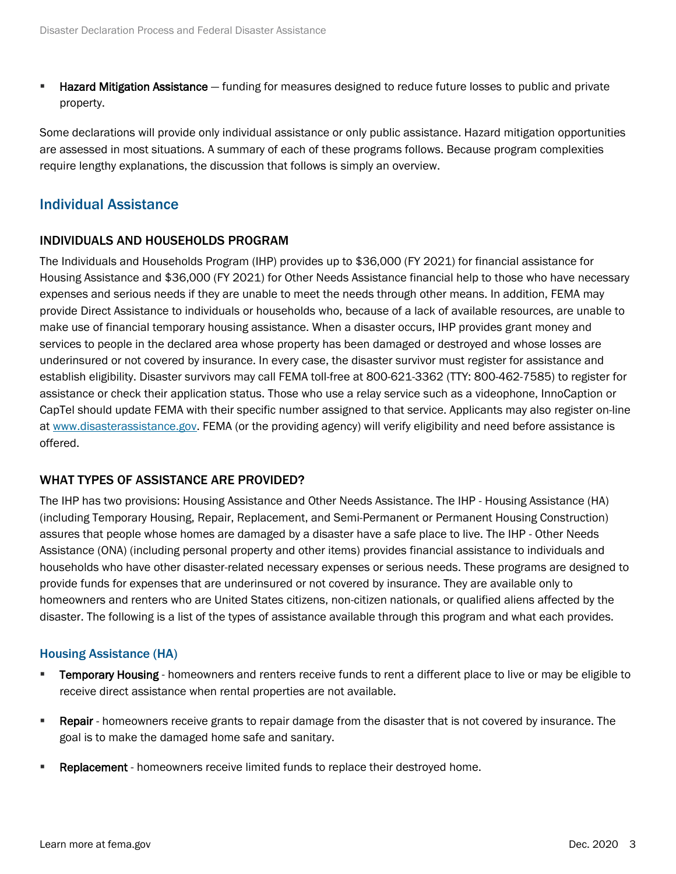**E** Hazard Mitigation Assistance – funding for measures designed to reduce future losses to public and private property.

Some declarations will provide only individual assistance or only public assistance. Hazard mitigation opportunities are assessed in most situations. A summary of each of these programs follows. Because program complexities require lengthy explanations, the discussion that follows is simply an overview.

# Individual Assistance

# INDIVIDUALS AND HOUSEHOLDS PROGRAM

The Individuals and Households Program (IHP) provides up to \$36,000 (FY 2021) for financial assistance for Housing Assistance and \$36,000 (FY 2021) for Other Needs Assistance financial help to those who have necessary expenses and serious needs if they are unable to meet the needs through other means. In addition, FEMA may provide Direct Assistance to individuals or households who, because of a lack of available resources, are unable to make use of financial temporary housing assistance. When a disaster occurs, IHP provides grant money and services to people in the declared area whose property has been damaged or destroyed and whose losses are underinsured or not covered by insurance. In every case, the disaster survivor must register for assistance and establish eligibility. Disaster survivors may call FEMA toll-free at 800-621-3362 (TTY: 800-462-7585) to register for assistance or check their application status. Those who use a relay service such as a videophone, InnoCaption or CapTel should update FEMA with their specific number assigned to that service. Applicants may also register on-line at [www.disasterassistance.gov.](http://www.disasterassistance.gov/) FEMA (or the providing agency) will verify eligibility and need before assistance is offered.

# WHAT TYPES OF ASSISTANCE ARE PROVIDED?

The IHP has two provisions: Housing Assistance and Other Needs Assistance. The IHP - Housing Assistance (HA) (including Temporary Housing, Repair, Replacement, and Semi-Permanent or Permanent Housing Construction) assures that people whose homes are damaged by a disaster have a safe place to live. The IHP - Other Needs Assistance (ONA) (including personal property and other items) provides financial assistance to individuals and households who have other disaster-related necessary expenses or serious needs. These programs are designed to provide funds for expenses that are underinsured or not covered by insurance. They are available only to homeowners and renters who are United States citizens, non-citizen nationals, or qualified aliens affected by the disaster. The following is a list of the types of assistance available through this program and what each provides.

#### Housing Assistance (HA)

- **Temporary Housing** homeowners and renters receive funds to rent a different place to live or may be eligible to receive direct assistance when rental properties are not available.
- **Repair** homeowners receive grants to repair damage from the disaster that is not covered by insurance. The goal is to make the damaged home safe and sanitary.
- **Example 2** Replacement homeowners receive limited funds to replace their destroyed home.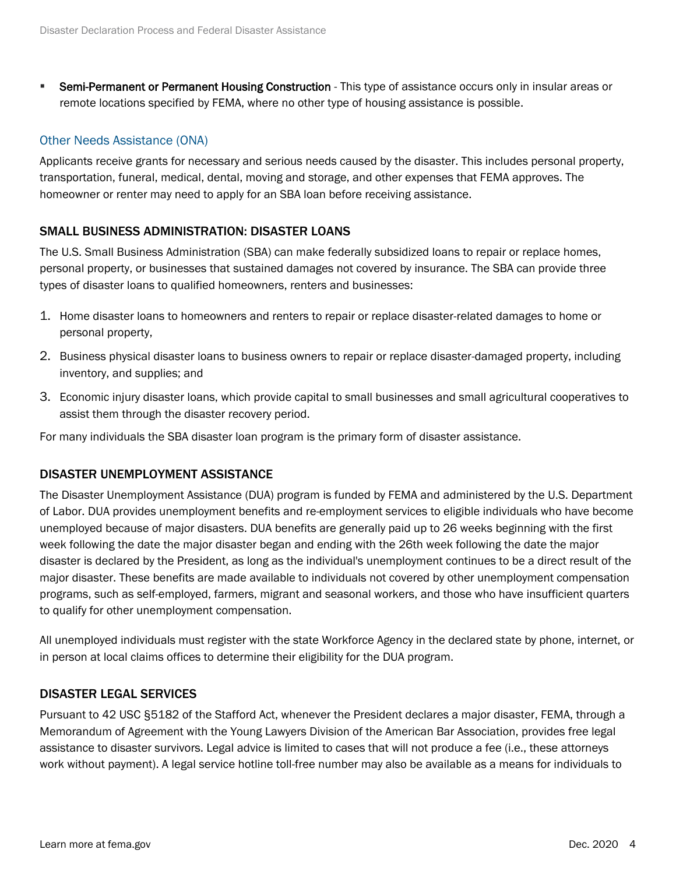**EXECT:** Semi-Permanent or Permanent Housing Construction - This type of assistance occurs only in insular areas or remote locations specified by FEMA, where no other type of housing assistance is possible.

# Other Needs Assistance (ONA)

Applicants receive grants for necessary and serious needs caused by the disaster. This includes personal property, transportation, funeral, medical, dental, moving and storage, and other expenses that FEMA approves. The homeowner or renter may need to apply for an SBA loan before receiving assistance.

# SMALL BUSINESS ADMINISTRATION: DISASTER LOANS

The U.S. Small Business Administration (SBA) can make federally subsidized loans to repair or replace homes, personal property, or businesses that sustained damages not covered by insurance. The SBA can provide three types of disaster loans to qualified homeowners, renters and businesses:

- 1. Home disaster loans to homeowners and renters to repair or replace disaster-related damages to home or personal property,
- 2. Business physical disaster loans to business owners to repair or replace disaster-damaged property, including inventory, and supplies; and
- 3. Economic injury disaster loans, which provide capital to small businesses and small agricultural cooperatives to assist them through the disaster recovery period.

For many individuals the SBA disaster loan program is the primary form of disaster assistance.

# DISASTER UNEMPLOYMENT ASSISTANCE

The Disaster Unemployment Assistance (DUA) program is funded by FEMA and administered by the U.S. Department of Labor. DUA provides unemployment benefits and re-employment services to eligible individuals who have become unemployed because of major disasters. DUA benefits are generally paid up to 26 weeks beginning with the first week following the date the major disaster began and ending with the 26th week following the date the major disaster is declared by the President, as long as the individual's unemployment continues to be a direct result of the major disaster. These benefits are made available to individuals not covered by other unemployment compensation programs, such as self-employed, farmers, migrant and seasonal workers, and those who have insufficient quarters to qualify for other unemployment compensation.

All unemployed individuals must register with the state Workforce Agency in the declared state by phone, internet, or in person at local claims offices to determine their eligibility for the DUA program.

# DISASTER LEGAL SERVICES

Pursuant to 42 USC §5182 of the Stafford Act, whenever the President declares a major disaster, FEMA, through a Memorandum of Agreement with the Young Lawyers Division of the American Bar Association, provides free legal assistance to disaster survivors. Legal advice is limited to cases that will not produce a fee (i.e., these attorneys work without payment). A legal service hotline toll-free number may also be available as a means for individuals to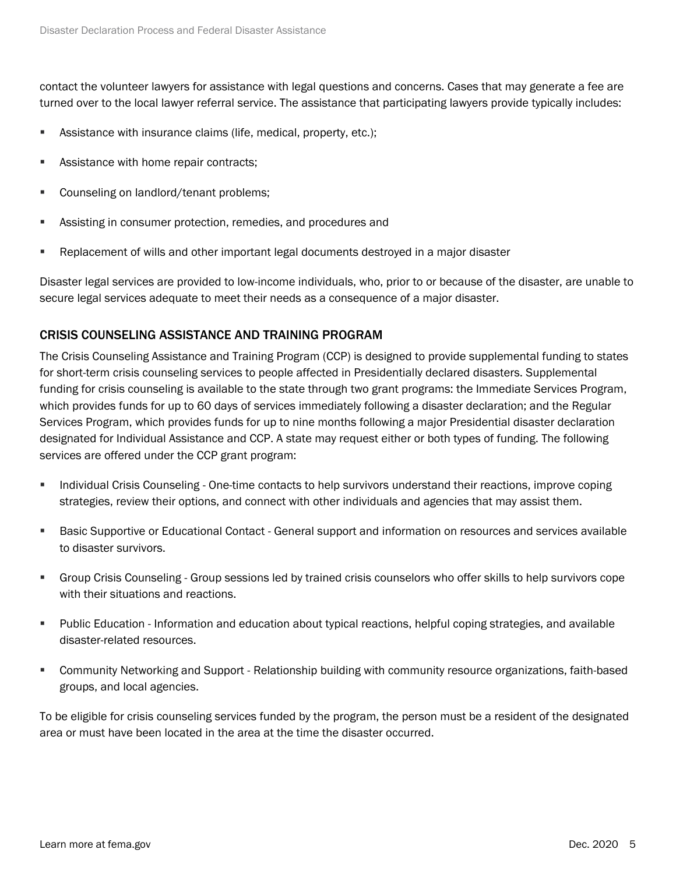contact the volunteer lawyers for assistance with legal questions and concerns. Cases that may generate a fee are turned over to the local lawyer referral service. The assistance that participating lawyers provide typically includes:

- **EXECT:** Assistance with insurance claims (life, medical, property, etc.);
- Assistance with home repair contracts;
- Counseling on landlord/tenant problems;
- Assisting in consumer protection, remedies, and procedures and
- **EXECT** Replacement of wills and other important legal documents destroyed in a major disaster

Disaster legal services are provided to low-income individuals, who, prior to or because of the disaster, are unable to secure legal services adequate to meet their needs as a consequence of a major disaster.

# CRISIS COUNSELING ASSISTANCE AND TRAINING PROGRAM

The Crisis Counseling Assistance and Training Program (CCP) is designed to provide supplemental funding to states for short-term crisis counseling services to people affected in Presidentially declared disasters. Supplemental funding for crisis counseling is available to the state through two grant programs: the Immediate Services Program, which provides funds for up to 60 days of services immediately following a disaster declaration; and the Regular Services Program, which provides funds for up to nine months following a major Presidential disaster declaration designated for Individual Assistance and CCP. A state may request either or both types of funding. The following services are offered under the CCP grant program:

- **EXEDENT INCO IN COUTS COUNSEDING One-time contacts to help survivors understand their reactions, improve coping** strategies, review their options, and connect with other individuals and agencies that may assist them.
- **EXECT:** Basic Supportive or Educational Contact General support and information on resources and services available to disaster survivors.
- Group Crisis Counseling Group sessions led by trained crisis counselors who offer skills to help survivors cope with their situations and reactions.
- Public Education Information and education about typical reactions, helpful coping strategies, and available disaster-related resources.
- Community Networking and Support Relationship building with community resource organizations, faith-based groups, and local agencies.

To be eligible for crisis counseling services funded by the program, the person must be a resident of the designated area or must have been located in the area at the time the disaster occurred.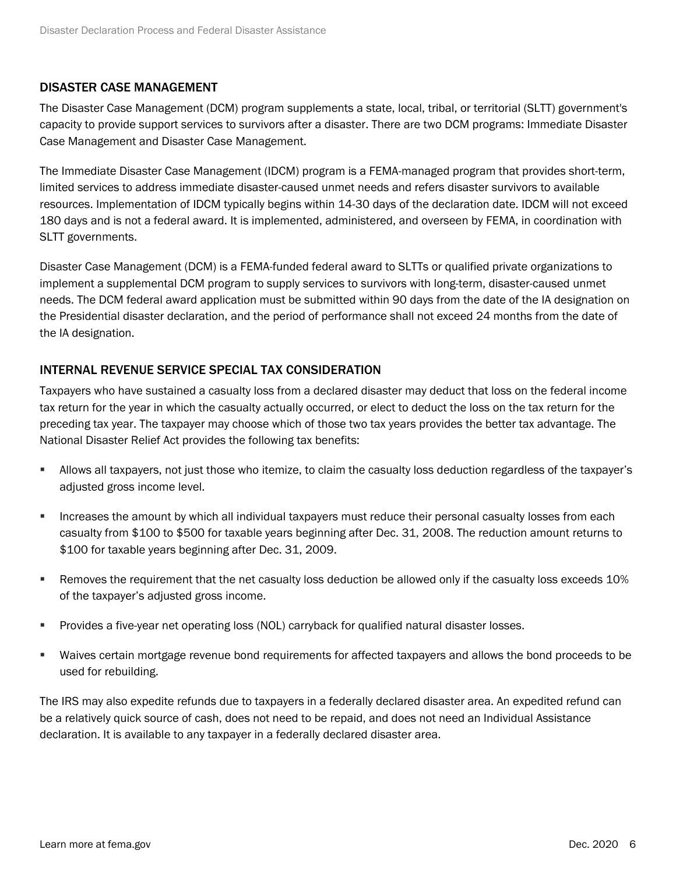# DISASTER CASE MANAGEMENT

The Disaster Case Management (DCM) program supplements a state, local, tribal, or territorial (SLTT) government's capacity to provide support services to survivors after a disaster. There are two DCM programs: Immediate Disaster Case Management and Disaster Case Management.

The Immediate Disaster Case Management (IDCM) program is a FEMA-managed program that provides short-term, limited services to address immediate disaster-caused unmet needs and refers disaster survivors to available resources. Implementation of IDCM typically begins within 14-30 days of the declaration date. IDCM will not exceed 180 days and is not a federal award. It is implemented, administered, and overseen by FEMA, in coordination with SLTT governments.

Disaster Case Management (DCM) is a FEMA-funded federal award to SLTTs or qualified private organizations to implement a supplemental DCM program to supply services to survivors with long-term, disaster-caused unmet needs. The DCM federal award application must be submitted within 90 days from the date of the IA designation on the Presidential disaster declaration, and the period of performance shall not exceed 24 months from the date of the IA designation.

# INTERNAL REVENUE SERVICE SPECIAL TAX CONSIDERATION

Taxpayers who have sustained a casualty loss from a declared disaster may deduct that loss on the federal income tax return for the year in which the casualty actually occurred, or elect to deduct the loss on the tax return for the preceding tax year. The taxpayer may choose which of those two tax years provides the better tax advantage. The National Disaster Relief Act provides the following tax benefits:

- Allows all taxpayers, not just those who itemize, to claim the casualty loss deduction regardless of the taxpayer's adjusted gross income level.
- **EXECT** Increases the amount by which all individual taxpayers must reduce their personal casualty losses from each casualty from \$100 to \$500 for taxable years beginning after Dec. 31, 2008. The reduction amount returns to \$100 for taxable years beginning after Dec. 31, 2009.
- Removes the requirement that the net casualty loss deduction be allowed only if the casualty loss exceeds 10% of the taxpayer's adjusted gross income.
- **Provides a five-year net operating loss (NOL) carryback for qualified natural disaster losses.**
- Waives certain mortgage revenue bond requirements for affected taxpayers and allows the bond proceeds to be used for rebuilding.

The IRS may also expedite refunds due to taxpayers in a federally declared disaster area. An expedited refund can be a relatively quick source of cash, does not need to be repaid, and does not need an Individual Assistance declaration. It is available to any taxpayer in a federally declared disaster area.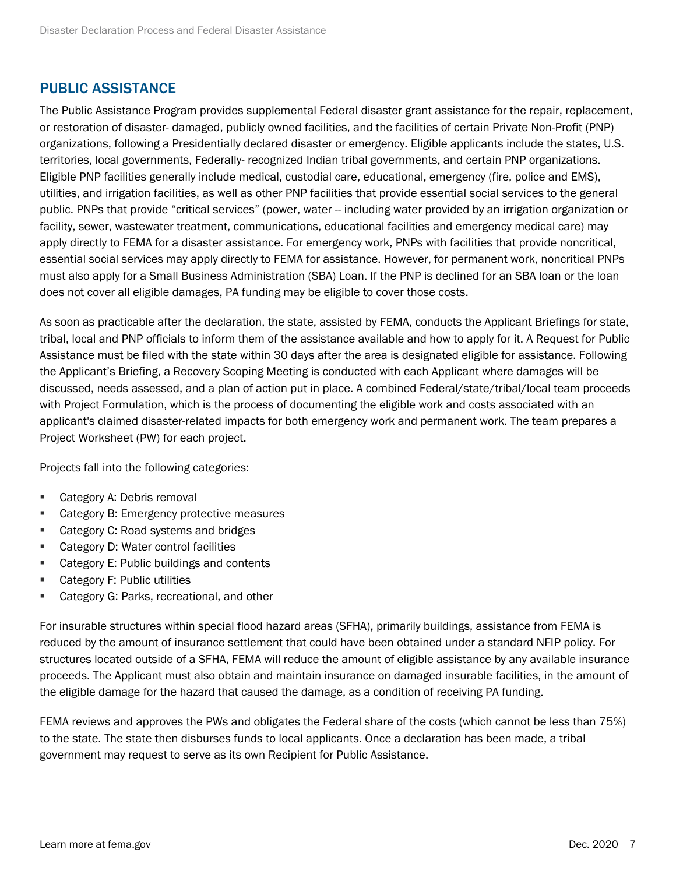# PUBLIC ASSISTANCE

The Public Assistance Program provides supplemental Federal disaster grant assistance for the repair, replacement, or restoration of disaster- damaged, publicly owned facilities, and the facilities of certain Private Non-Profit (PNP) organizations, following a Presidentially declared disaster or emergency. Eligible applicants include the states, U.S. territories, local governments, Federally- recognized Indian tribal governments, and certain PNP organizations. Eligible PNP facilities generally include medical, custodial care, educational, emergency (fire, police and EMS), utilities, and irrigation facilities, as well as other PNP facilities that provide essential social services to the general public. PNPs that provide "critical services" (power, water -- including water provided by an irrigation organization or facility, sewer, wastewater treatment, communications, educational facilities and emergency medical care) may apply directly to FEMA for a disaster assistance. For emergency work, PNPs with facilities that provide noncritical, essential social services may apply directly to FEMA for assistance. However, for permanent work, noncritical PNPs must also apply for a Small Business Administration (SBA) Loan. If the PNP is declined for an SBA loan or the loan does not cover all eligible damages, PA funding may be eligible to cover those costs.

As soon as practicable after the declaration, the state, assisted by FEMA, conducts the Applicant Briefings for state, tribal, local and PNP officials to inform them of the assistance available and how to apply for it. A Request for Public Assistance must be filed with the state within 30 days after the area is designated eligible for assistance. Following the Applicant's Briefing, a Recovery Scoping Meeting is conducted with each Applicant where damages will be discussed, needs assessed, and a plan of action put in place. A combined Federal/state/tribal/local team proceeds with Project Formulation, which is the process of documenting the eligible work and costs associated with an applicant's claimed disaster-related impacts for both emergency work and permanent work. The team prepares a Project Worksheet (PW) for each project.

Projects fall into the following categories:

- Category A: Debris removal
- Category B: Emergency protective measures
- Category C: Road systems and bridges
- Category D: Water control facilities
- Category E: Public buildings and contents
- Category F: Public utilities
- Category G: Parks, recreational, and other

For insurable structures within special flood hazard areas (SFHA), primarily buildings, assistance from FEMA is reduced by the amount of insurance settlement that could have been obtained under a standard NFIP policy. For structures located outside of a SFHA, FEMA will reduce the amount of eligible assistance by any available insurance proceeds. The Applicant must also obtain and maintain insurance on damaged insurable facilities, in the amount of the eligible damage for the hazard that caused the damage, as a condition of receiving PA funding.

FEMA reviews and approves the PWs and obligates the Federal share of the costs (which cannot be less than 75%) to the state. The state then disburses funds to local applicants. Once a declaration has been made, a tribal government may request to serve as its own Recipient for Public Assistance.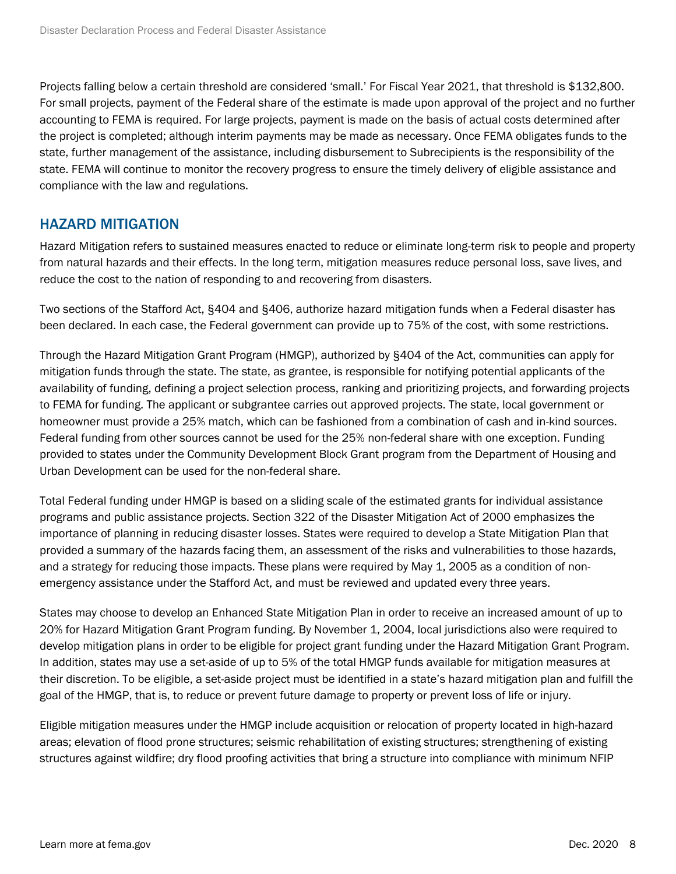Projects falling below a certain threshold are considered 'small.' For Fiscal Year 2021, that threshold is \$132,800. For small projects, payment of the Federal share of the estimate is made upon approval of the project and no further accounting to FEMA is required. For large projects, payment is made on the basis of actual costs determined after the project is completed; although interim payments may be made as necessary. Once FEMA obligates funds to the state, further management of the assistance, including disbursement to Subrecipients is the responsibility of the state. FEMA will continue to monitor the recovery progress to ensure the timely delivery of eligible assistance and compliance with the law and regulations.

# HAZARD MITIGATION

Hazard Mitigation refers to sustained measures enacted to reduce or eliminate long-term risk to people and property from natural hazards and their effects. In the long term, mitigation measures reduce personal loss, save lives, and reduce the cost to the nation of responding to and recovering from disasters.

Two sections of the Stafford Act, §404 and §406, authorize hazard mitigation funds when a Federal disaster has been declared. In each case, the Federal government can provide up to 75% of the cost, with some restrictions.

Through the Hazard Mitigation Grant Program (HMGP), authorized by §404 of the Act, communities can apply for mitigation funds through the state. The state, as grantee, is responsible for notifying potential applicants of the availability of funding, defining a project selection process, ranking and prioritizing projects, and forwarding projects to FEMA for funding. The applicant or subgrantee carries out approved projects. The state, local government or homeowner must provide a 25% match, which can be fashioned from a combination of cash and in-kind sources. Federal funding from other sources cannot be used for the 25% non-federal share with one exception. Funding provided to states under the Community Development Block Grant program from the Department of Housing and Urban Development can be used for the non-federal share.

Total Federal funding under HMGP is based on a sliding scale of the estimated grants for individual assistance programs and public assistance projects. Section 322 of the Disaster Mitigation Act of 2000 emphasizes the importance of planning in reducing disaster losses. States were required to develop a State Mitigation Plan that provided a summary of the hazards facing them, an assessment of the risks and vulnerabilities to those hazards, and a strategy for reducing those impacts. These plans were required by May 1, 2005 as a condition of nonemergency assistance under the Stafford Act, and must be reviewed and updated every three years.

States may choose to develop an Enhanced State Mitigation Plan in order to receive an increased amount of up to 20% for Hazard Mitigation Grant Program funding. By November 1, 2004, local jurisdictions also were required to develop mitigation plans in order to be eligible for project grant funding under the Hazard Mitigation Grant Program. In addition, states may use a set-aside of up to 5% of the total HMGP funds available for mitigation measures at their discretion. To be eligible, a set-aside project must be identified in a state's hazard mitigation plan and fulfill the goal of the HMGP, that is, to reduce or prevent future damage to property or prevent loss of life or injury.

Eligible mitigation measures under the HMGP include acquisition or relocation of property located in high-hazard areas; elevation of flood prone structures; seismic rehabilitation of existing structures; strengthening of existing structures against wildfire; dry flood proofing activities that bring a structure into compliance with minimum NFIP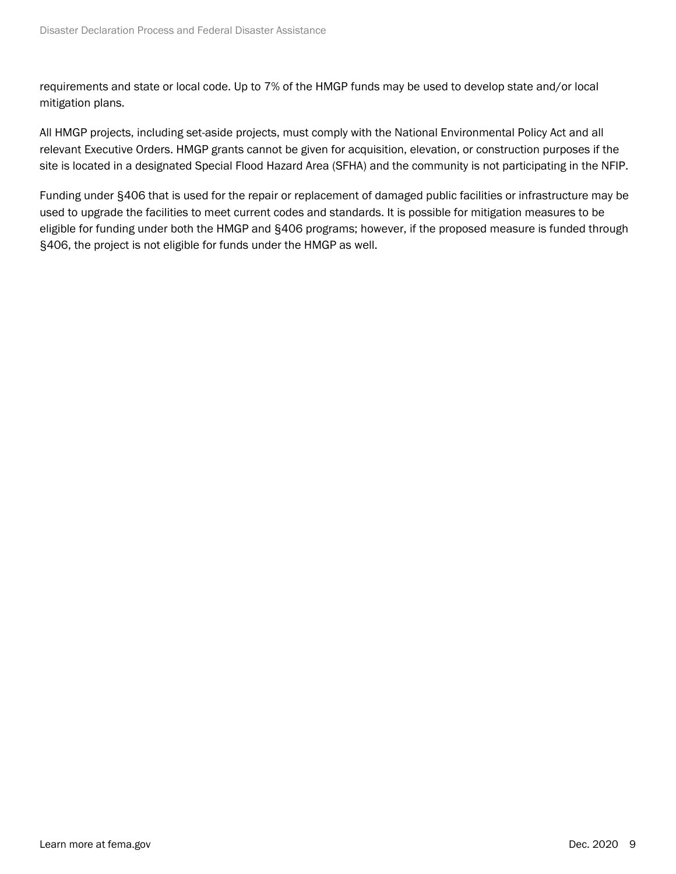requirements and state or local code. Up to 7% of the HMGP funds may be used to develop state and/or local mitigation plans.

All HMGP projects, including set-aside projects, must comply with the National Environmental Policy Act and all relevant Executive Orders. HMGP grants cannot be given for acquisition, elevation, or construction purposes if the site is located in a designated Special Flood Hazard Area (SFHA) and the community is not participating in the NFIP.

Funding under §406 that is used for the repair or replacement of damaged public facilities or infrastructure may be used to upgrade the facilities to meet current codes and standards. It is possible for mitigation measures to be eligible for funding under both the HMGP and §406 programs; however, if the proposed measure is funded through §406, the project is not eligible for funds under the HMGP as well.